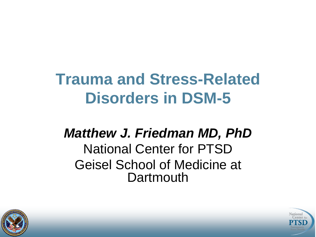# **Trauma and Stress-Related Disorders in DSM-5**

#### *Matthew J. Friedman MD, PhD* National Center for PTSD Geisel School of Medicine at **Dartmouth**



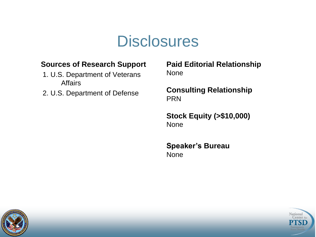#### **Disclosures**

#### **Sources of Research Support**

- 1. U.S. Department of Veterans Affairs
- 2. U.S. Department of Defense

**Paid Editorial Relationship**  None

**Consulting Relationship**  PRN

**Stock Equity (>\$10,000)** None

**Speaker's Bureau** None



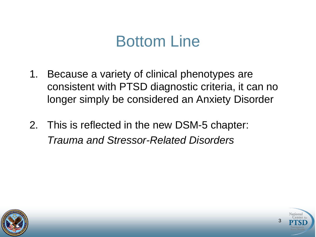#### Bottom Line

- 1. Because a variety of clinical phenotypes are consistent with PTSD diagnostic criteria, it can no longer simply be considered an Anxiety Disorder
- 2. This is reflected in the new DSM-5 chapter: *Trauma and Stressor-Related Disorders*



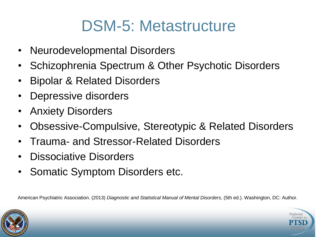#### DSM-5: Metastructure

- Neurodevelopmental Disorders
- Schizophrenia Spectrum & Other Psychotic Disorders
- Bipolar & Related Disorders
- Depressive disorders
- Anxiety Disorders
- Obsessive-Compulsive, Stereotypic & Related Disorders
- Trauma- and Stressor-Related Disorders
- Dissociative Disorders
- Somatic Symptom Disorders etc.

American Psychiatric Association. (2013) *Diagnostic and Statistical Manual of Mental Disorders*, (5th ed.). Washington, DC: Author.



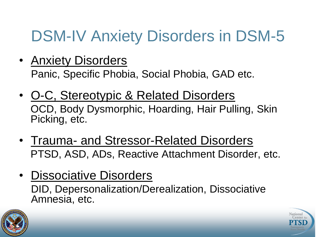### DSM-IV Anxiety Disorders in DSM-5

- Anxiety Disorders Panic, Specific Phobia, Social Phobia, GAD etc.
- O-C, Stereotypic & Related Disorders OCD, Body Dysmorphic, Hoarding, Hair Pulling, Skin Picking, etc.
- Trauma- and Stressor-Related Disorders PTSD, ASD, ADs, Reactive Attachment Disorder, etc.
- Dissociative Disorders DID, Depersonalization/Derealization, Dissociative Amnesia, etc.



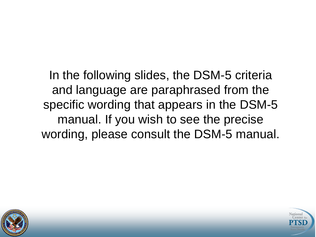In the following slides, the DSM-5 criteria and language are paraphrased from the specific wording that appears in the DSM-5 manual. If you wish to see the precise wording, please consult the DSM-5 manual.



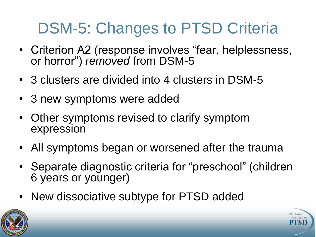# DSM-5: Changes to PTSD Criteria

- Criterion A2 (response involves "fear, helplessness, or horror") *removed* from DSM-5
- 3 clusters are divided into 4 clusters in DSM-5
- 3 new symptoms were added
- Other symptoms revised to clarify symptom expression
- All symptoms began or worsened after the trauma
- Separate diagnostic criteria for "preschool" (children 6 years or younger)
- New dissociative subtype for PTSD added



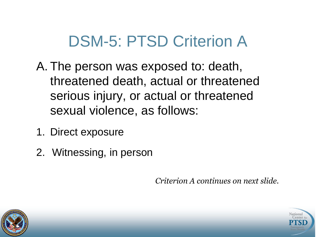#### DSM-5: PTSD Criterion A

- A. The person was exposed to: death, threatened death, actual or threatened serious injury, or actual or threatened sexual violence, as follows:
- 1. Direct exposure
- 2. Witnessing, in person

*Criterion A continues on next slide.*



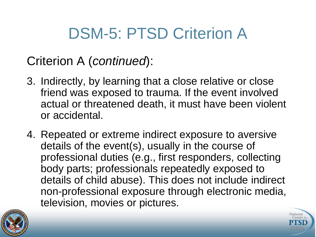## DSM-5: PTSD Criterion A

#### Criterion A (*continued*):

- 3. Indirectly, by learning that a close relative or close friend was exposed to trauma. If the event involved actual or threatened death, it must have been violent or accidental.
- 4. Repeated or extreme indirect exposure to aversive details of the event(s), usually in the course of professional duties (e.g., first responders, collecting body parts; professionals repeatedly exposed to details of child abuse). This does not include indirect non-professional exposure through electronic media, television, movies or pictures.



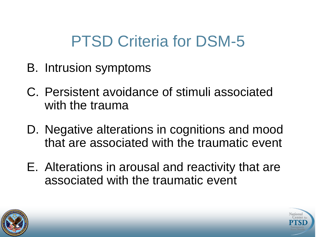#### PTSD Criteria for DSM-5

- B. Intrusion symptoms
- C. Persistent avoidance of stimuli associated with the trauma
- D. Negative alterations in cognitions and mood that are associated with the traumatic event
- E. Alterations in arousal and reactivity that are associated with the traumatic event



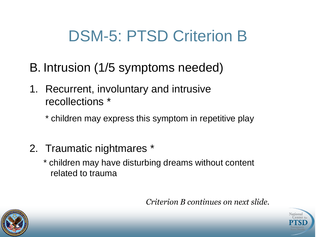#### DSM-5: PTSD Criterion B

- B. Intrusion (1/5 symptoms needed)
- 1. Recurrent, involuntary and intrusive recollections \*
	- \* children may express this symptom in repetitive play
- 2. Traumatic nightmares \*
	- \* children may have disturbing dreams without content related to trauma

*Criterion B continues on next slide.*



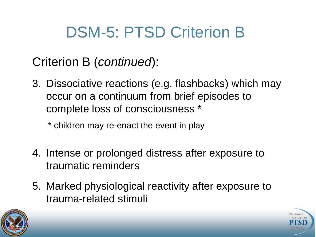# DSM-5: PTSD Criterion B

#### Criterion B (*continued*):

- 3. Dissociative reactions (e.g. flashbacks) which may occur on a continuum from brief episodes to complete loss of consciousness \*
	- \* children may re-enact the event in play
- 4. Intense or prolonged distress after exposure to traumatic reminders
- 5. Marked physiological reactivity after exposure to trauma-related stimuli



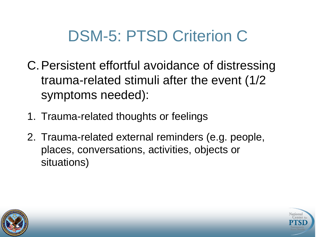#### DSM-5: PTSD Criterion C

- C.Persistent effortful avoidance of distressing trauma-related stimuli after the event (1/2 symptoms needed):
- 1. Trauma-related thoughts or feelings
- 2. Trauma-related external reminders (e.g. people, places, conversations, activities, objects or situations)



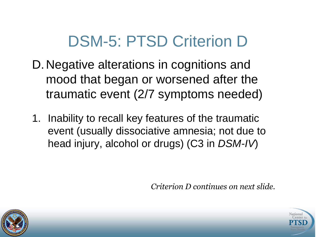#### DSM-5: PTSD Criterion D

- D.Negative alterations in cognitions and mood that began or worsened after the traumatic event (2/7 symptoms needed)
- 1. Inability to recall key features of the traumatic event (usually dissociative amnesia; not due to head injury, alcohol or drugs) (C3 in *DSM-IV*)

*Criterion D continues on next slide.*



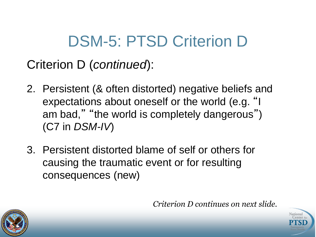# DSM-5: PTSD Criterion D

Criterion D (*continued*):

- 2. Persistent (& often distorted) negative beliefs and expectations about oneself or the world (e.g. "I am bad," "the world is completely dangerous") (C7 in *DSM-IV*)
- 3. Persistent distorted blame of self or others for causing the traumatic event or for resulting consequences (new)

*Criterion D continues on next slide.*



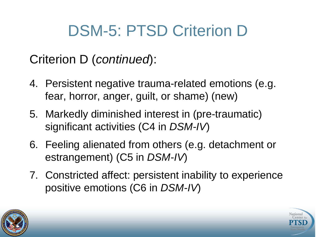### DSM-5: PTSD Criterion D

#### Criterion D (*continued*):

- 4. Persistent negative trauma-related emotions (e.g. fear, horror, anger, guilt, or shame) (new)
- 5. Markedly diminished interest in (pre-traumatic) significant activities (C4 in *DSM-IV*)
- 6. Feeling alienated from others (e.g. detachment or estrangement) (C5 in *DSM-IV*)
- 7. Constricted affect: persistent inability to experience positive emotions (C6 in *DSM-IV*)



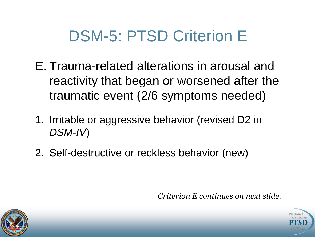#### DSM-5: PTSD Criterion E

- E. Trauma-related alterations in arousal and reactivity that began or worsened after the traumatic event (2/6 symptoms needed)
- 1. Irritable or aggressive behavior (revised D2 in *DSM-IV*)
- 2. Self-destructive or reckless behavior (new)

*Criterion E continues on next slide.*



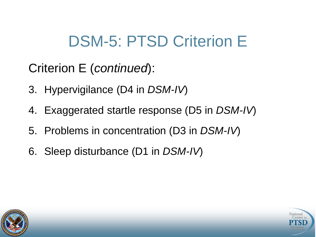### DSM-5: PTSD Criterion E

Criterion E (*continued*):

- 3. Hypervigilance (D4 in *DSM-IV*)
- 4. Exaggerated startle response (D5 in *DSM-IV*)
- 5. Problems in concentration (D3 in *DSM-IV*)
- 6. Sleep disturbance (D1 in *DSM-IV*)



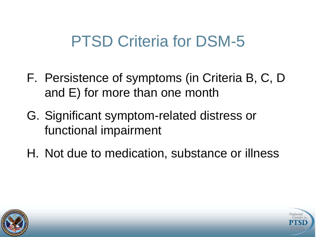#### PTSD Criteria for DSM-5

- F. Persistence of symptoms (in Criteria B, C, D and E) for more than one month
- G. Significant symptom-related distress or functional impairment
- H. Not due to medication, substance or illness



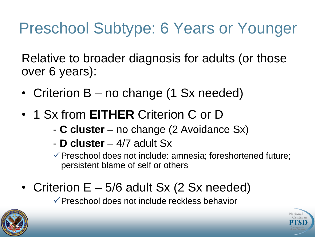## Preschool Subtype: 6 Years or Younger

Relative to broader diagnosis for adults (or those over 6 years):

- Criterion B no change (1 Sx needed)
- 1 Sx from **EITHER** Criterion C or D
	- **C cluster**  no change (2 Avoidance Sx)
	- **D cluster**  4/7 adult Sx

 $\checkmark$  Preschool does not include: amnesia; foreshortened future; persistent blame of self or others

• Criterion  $E - 5/6$  adult Sx (2 Sx needed)

 $\checkmark$  Preschool does not include reckless behavior



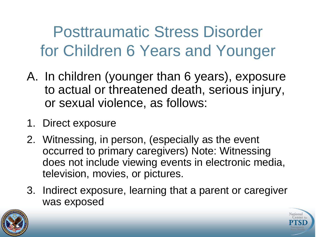Posttraumatic Stress Disorder for Children 6 Years and Younger

- A. In children (younger than 6 years), exposure to actual or threatened death, serious injury, or sexual violence, as follows:
- 1. Direct exposure
- 2. Witnessing, in person, (especially as the event occurred to primary caregivers) Note: Witnessing does not include viewing events in electronic media, television, movies, or pictures.
- 3. Indirect exposure, learning that a parent or caregiver was exposed



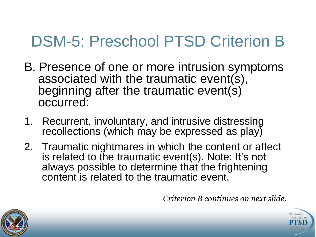### DSM-5: Preschool PTSD Criterion B

- B. Presence of one or more intrusion symptoms associated with the traumatic event(s), beginning after the traumatic event(s) occurred:
- 1. Recurrent, involuntary, and intrusive distressing recollections (which may be expressed as play)
- 2. Traumatic nightmares in which the content or affect is related to the traumatic event(s). Note: It's not always possible to determine that the frightening content is related to the traumatic event.

*Criterion B continues on next slide.*



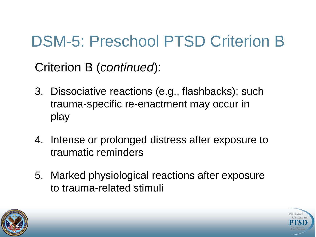# DSM-5: Preschool PTSD Criterion B

Criterion B (*continued*):

- 3. Dissociative reactions (e.g., flashbacks); such trauma-specific re-enactment may occur in play
- 4. Intense or prolonged distress after exposure to traumatic reminders
- 5. Marked physiological reactions after exposure to trauma-related stimuli



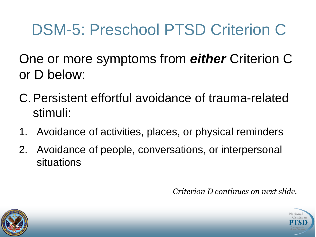# DSM-5: Preschool PTSD Criterion C

One or more symptoms from *either* Criterion C or D below:

- C.Persistent effortful avoidance of trauma-related stimuli:
- 1. Avoidance of activities, places, or physical reminders
- 2. Avoidance of people, conversations, or interpersonal situations

*Criterion D continues on next slide.*



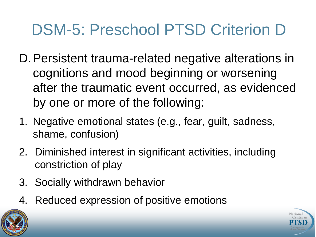# DSM-5: Preschool PTSD Criterion D

- D.Persistent trauma-related negative alterations in cognitions and mood beginning or worsening after the traumatic event occurred, as evidenced by one or more of the following:
- 1. Negative emotional states (e.g., fear, guilt, sadness, shame, confusion)
- 2. Diminished interest in significant activities, including constriction of play
- 3. Socially withdrawn behavior
- 4. Reduced expression of positive emotions



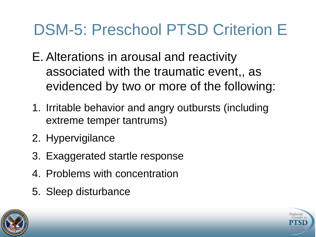### DSM-5: Preschool PTSD Criterion E

- E. Alterations in arousal and reactivity associated with the traumatic event,, as evidenced by two or more of the following:
- 1. Irritable behavior and angry outbursts (including extreme temper tantrums)
- 2. Hypervigilance
- 3. Exaggerated startle response
- 4. Problems with concentration
- 5. Sleep disturbance



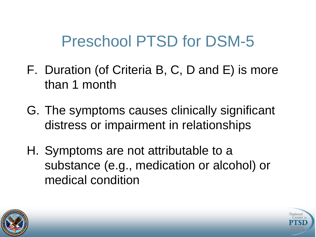#### Preschool PTSD for DSM-5

- F. Duration (of Criteria B, C, D and E) is more than 1 month
- G. The symptoms causes clinically significant distress or impairment in relationships
- H. Symptoms are not attributable to a substance (e.g., medication or alcohol) or medical condition



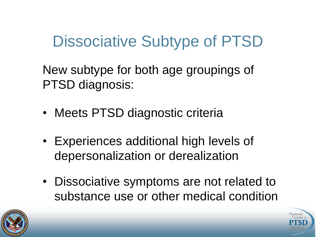#### Dissociative Subtype of PTSD

New subtype for both age groupings of PTSD diagnosis:

- Meets PTSD diagnostic criteria
- Experiences additional high levels of depersonalization or derealization
- Dissociative symptoms are not related to substance use or other medical condition



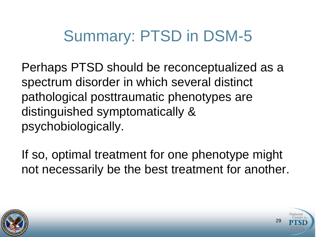#### Summary: PTSD in DSM-5

Perhaps PTSD should be reconceptualized as a spectrum disorder in which several distinct pathological posttraumatic phenotypes are distinguished symptomatically & psychobiologically.

If so, optimal treatment for one phenotype might not necessarily be the best treatment for another.



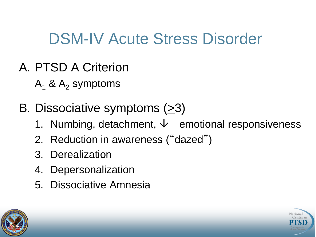#### DSM-IV Acute Stress Disorder

- A. PTSD A Criterion
	- $A_1$  &  $A_2$  symptoms
- B. Dissociative symptoms  $(23)$ 
	- 1. Numbing, detachment,  $\psi$  emotional responsiveness
	- 2. Reduction in awareness ("dazed")
	- 3. Derealization
	- 4. Depersonalization
	- 5. Dissociative Amnesia



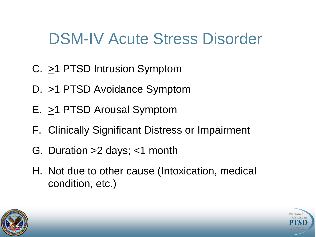#### DSM-IV Acute Stress Disorder

- C. >1 PTSD Intrusion Symptom
- D. >1 PTSD Avoidance Symptom
- E. >1 PTSD Arousal Symptom
- F. Clinically Significant Distress or Impairment
- G. Duration >2 days; <1 month
- H. Not due to other cause (Intoxication, medical condition, etc.)



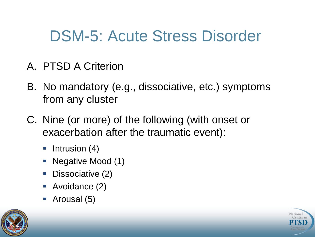#### DSM-5: Acute Stress Disorder

- A. PTSD A Criterion
- B. No mandatory (e.g., dissociative, etc.) symptoms from any cluster
- C. Nine (or more) of the following (with onset or exacerbation after the traumatic event):
	- $\blacksquare$  Intrusion (4)
	- Negative Mood (1)
	- Dissociative (2)
	- **Avoidance (2)**
	- Arousal (5)



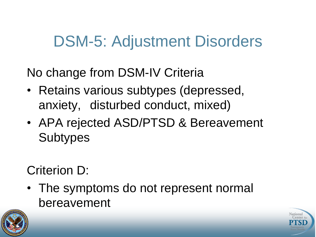#### DSM-5: Adjustment Disorders

No change from DSM-IV Criteria

- Retains various subtypes (depressed, anxiety, disturbed conduct, mixed)
- APA rejected ASD/PTSD & Bereavement **Subtypes**

Criterion D:

• The symptoms do not represent normal bereavement



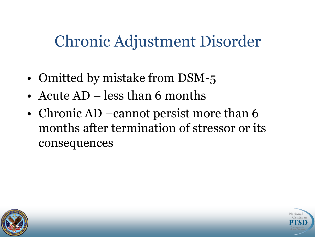#### Chronic Adjustment Disorder

- Omitted by mistake from DSM-5
- Acute AD less than 6 months
- Chronic AD –cannot persist more than 6 months after termination of stressor or its consequences



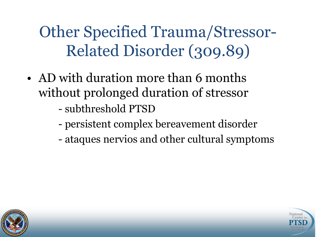Other Specified Trauma/Stressor-Related Disorder (309.89)

- AD with duration more than 6 months without prolonged duration of stressor
	- subthreshold PTSD
	- persistent complex bereavement disorder
	- ataques nervios and other cultural symptoms



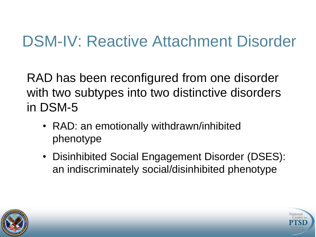#### DSM-IV: Reactive Attachment Disorder

RAD has been reconfigured from one disorder with two subtypes into two distinctive disorders in DSM-5

- RAD: an emotionally withdrawn/inhibited phenotype
- Disinhibited Social Engagement Disorder (DSES): an indiscriminately social/disinhibited phenotype



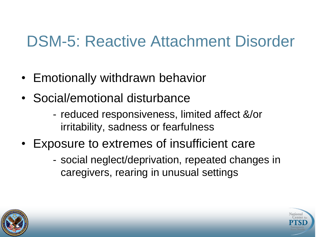#### DSM-5: Reactive Attachment Disorder

- Emotionally withdrawn behavior
- Social/emotional disturbance
	- reduced responsiveness, limited affect &/or irritability, sadness or fearfulness
- Exposure to extremes of insufficient care
	- social neglect/deprivation, repeated changes in caregivers, rearing in unusual settings



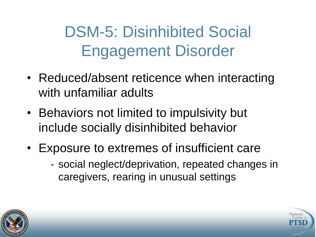DSM-5: Disinhibited Social Engagement Disorder

- Reduced/absent reticence when interacting with unfamiliar adults
- Behaviors not limited to impulsivity but include socially disinhibited behavior
- Exposure to extremes of insufficient care
	- social neglect/deprivation, repeated changes in caregivers, rearing in unusual settings



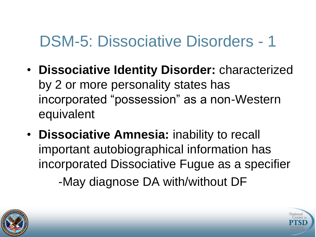#### DSM-5: Dissociative Disorders - 1

- **Dissociative Identity Disorder:** characterized by 2 or more personality states has incorporated "possession" as a non-Western equivalent
- **Dissociative Amnesia:** inability to recall important autobiographical information has incorporated Dissociative Fugue as a specifier -May diagnose DA with/without DF



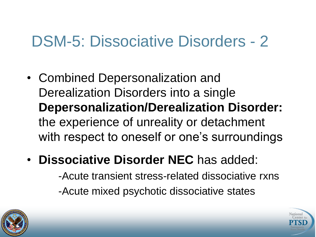#### DSM-5: Dissociative Disorders - 2

- Combined Depersonalization and Derealization Disorders into a single **Depersonalization/Derealization Disorder:** the experience of unreality or detachment with respect to oneself or one's surroundings
- **Dissociative Disorder NEC** has added:

-Acute transient stress-related dissociative rxns -Acute mixed psychotic dissociative states



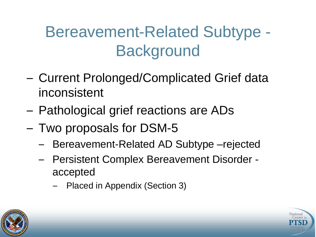# Bereavement-Related Subtype - **Background**

- Current Prolonged/Complicated Grief data inconsistent
- Pathological grief reactions are ADs
- Two proposals for DSM-5
	- Bereavement-Related AD Subtype –rejected
	- Persistent Complex Bereavement Disorder accepted
		- Placed in Appendix (Section 3)



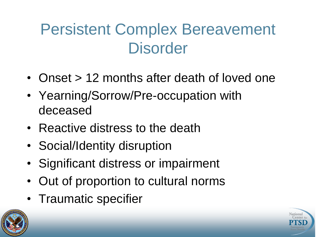### Persistent Complex Bereavement **Disorder**

- Onset > 12 months after death of loved one
- Yearning/Sorrow/Pre-occupation with deceased
- Reactive distress to the death
- Social/Identity disruption
- Significant distress or impairment
- Out of proportion to cultural norms
- Traumatic specifier



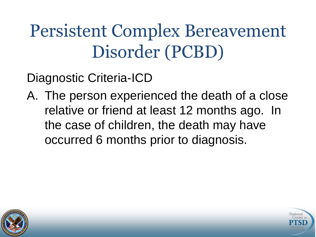# Persistent Complex Bereavement Disorder (PCBD)

Diagnostic Criteria-ICD

A. The person experienced the death of a close relative or friend at least 12 months ago. In the case of children, the death may have occurred 6 months prior to diagnosis.



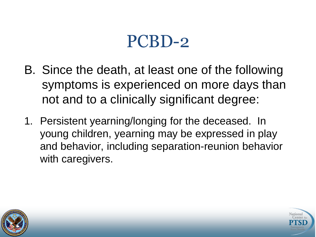- B. Since the death, at least one of the following symptoms is experienced on more days than not and to a clinically significant degree:
- 1. Persistent yearning/longing for the deceased. In young children, yearning may be expressed in play and behavior, including separation-reunion behavior with caregivers.



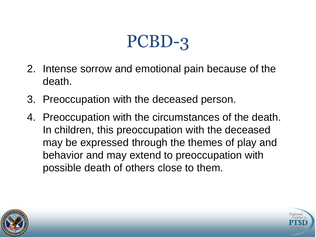- 2. Intense sorrow and emotional pain because of the death.
- 3. Preoccupation with the deceased person.
- 4. Preoccupation with the circumstances of the death. In children, this preoccupation with the deceased may be expressed through the themes of play and behavior and may extend to preoccupation with possible death of others close to them.



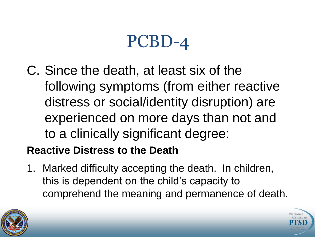C. Since the death, at least six of the following symptoms (from either reactive distress or social/identity disruption) are experienced on more days than not and to a clinically significant degree:

#### **Reactive Distress to the Death**

1. Marked difficulty accepting the death. In children, this is dependent on the child's capacity to comprehend the meaning and permanence of death.



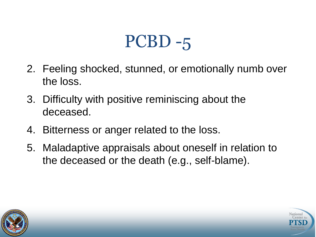- 2. Feeling shocked, stunned, or emotionally numb over the loss.
- 3. Difficulty with positive reminiscing about the deceased.
- 4. Bitterness or anger related to the loss.
- 5. Maladaptive appraisals about oneself in relation to the deceased or the death (e.g., self-blame).



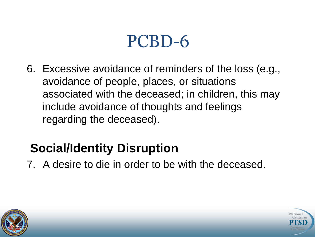6. Excessive avoidance of reminders of the loss (e.g., avoidance of people, places, or situations associated with the deceased; in children, this may include avoidance of thoughts and feelings regarding the deceased).

#### **Social/Identity Disruption**

7. A desire to die in order to be with the deceased.



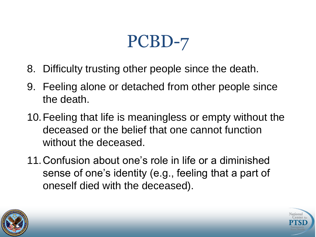- 8. Difficulty trusting other people since the death.
- 9. Feeling alone or detached from other people since the death.
- 10.Feeling that life is meaningless or empty without the deceased or the belief that one cannot function without the deceased.
- 11.Confusion about one's role in life or a diminished sense of one's identity (e.g., feeling that a part of oneself died with the deceased).



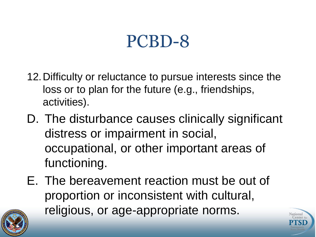- 12.Difficulty or reluctance to pursue interests since the loss or to plan for the future (e.g., friendships, activities).
- D. The disturbance causes clinically significant distress or impairment in social, occupational, or other important areas of functioning.
- E. The bereavement reaction must be out of proportion or inconsistent with cultural, religious, or age-appropriate norms.



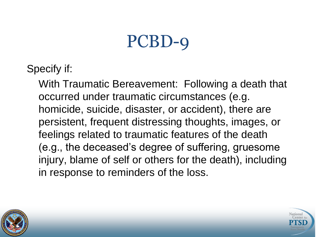Specify if:

With Traumatic Bereavement: Following a death that occurred under traumatic circumstances (e.g. homicide, suicide, disaster, or accident), there are persistent, frequent distressing thoughts, images, or feelings related to traumatic features of the death (e.g., the deceased's degree of suffering, gruesome injury, blame of self or others for the death), including in response to reminders of the loss.